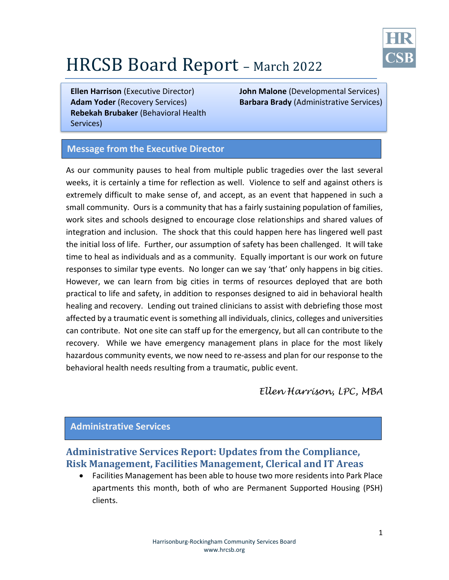

# HRCSB Board Report – March <sup>2022</sup>

**Adam Yoder** (Recovery Services) **Rebekah Brubaker** (Behavioral Health Services)

**Ellen Harrison** (Executive Director) **John Malone** (Developmental Services) **Barbara Brady** (Administrative Services)

#### **Message from the Executive Director**

As our community pauses to heal from multiple public tragedies over the last several weeks, it is certainly a time for reflection as well. Violence to self and against others is extremely difficult to make sense of, and accept, as an event that happened in such a small community. Ours is a community that has a fairly sustaining population of families, work sites and schools designed to encourage close relationships and shared values of integration and inclusion. The shock that this could happen here has lingered well past the initial loss of life. Further, our assumption of safety has been challenged. It will take time to heal as individuals and as a community. Equally important is our work on future responses to similar type events. No longer can we say 'that' only happens in big cities. However, we can learn from big cities in terms of resources deployed that are both practical to life and safety, in addition to responses designed to aid in behavioral health healing and recovery. Lending out trained clinicians to assist with debriefing those most affected by a traumatic event is something all individuals, clinics, colleges and universities can contribute. Not one site can staff up for the emergency, but all can contribute to the recovery. While we have emergency management plans in place for the most likely hazardous community events, we now need to re-assess and plan for our response to the behavioral health needs resulting from a traumatic, public event.

*Ellen Harrison, LPC, MBA*

#### **Administrative Services**

# **Administrative Services Report: Updates from the Compliance, Risk Management, Facilities Management, Clerical and IT Areas**

 Facilities Management has been able to house two more residents into Park Place apartments this month, both of who are Permanent Supported Housing (PSH) clients.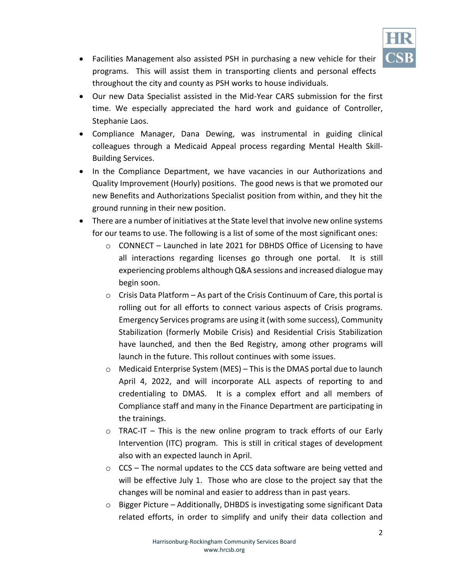

- Facilities Management also assisted PSH in purchasing a new vehicle for their programs. This will assist them in transporting clients and personal effects throughout the city and county as PSH works to house individuals.
- Our new Data Specialist assisted in the Mid-Year CARS submission for the first time. We especially appreciated the hard work and guidance of Controller, Stephanie Laos.
- Compliance Manager, Dana Dewing, was instrumental in guiding clinical colleagues through a Medicaid Appeal process regarding Mental Health Skill-Building Services.
- In the Compliance Department, we have vacancies in our Authorizations and Quality Improvement (Hourly) positions. The good news is that we promoted our new Benefits and Authorizations Specialist position from within, and they hit the ground running in their new position.
- There are a number of initiatives at the State level that involve new online systems for our teams to use. The following is a list of some of the most significant ones:
	- o CONNECT Launched in late 2021 for DBHDS Office of Licensing to have all interactions regarding licenses go through one portal. It is still experiencing problems although Q&A sessions and increased dialogue may begin soon.
	- $\circ$  Crisis Data Platform As part of the Crisis Continuum of Care, this portal is rolling out for all efforts to connect various aspects of Crisis programs. Emergency Services programs are using it (with some success), Community Stabilization (formerly Mobile Crisis) and Residential Crisis Stabilization have launched, and then the Bed Registry, among other programs will launch in the future. This rollout continues with some issues.
	- o Medicaid Enterprise System (MES) This is the DMAS portal due to launch April 4, 2022, and will incorporate ALL aspects of reporting to and credentialing to DMAS. It is a complex effort and all members of Compliance staff and many in the Finance Department are participating in the trainings.
	- o TRAC-IT This is the new online program to track efforts of our Early Intervention (ITC) program. This is still in critical stages of development also with an expected launch in April.
	- $\circ$  CCS The normal updates to the CCS data software are being vetted and will be effective July 1. Those who are close to the project say that the changes will be nominal and easier to address than in past years.
	- o Bigger Picture Additionally, DHBDS is investigating some significant Data related efforts, in order to simplify and unify their data collection and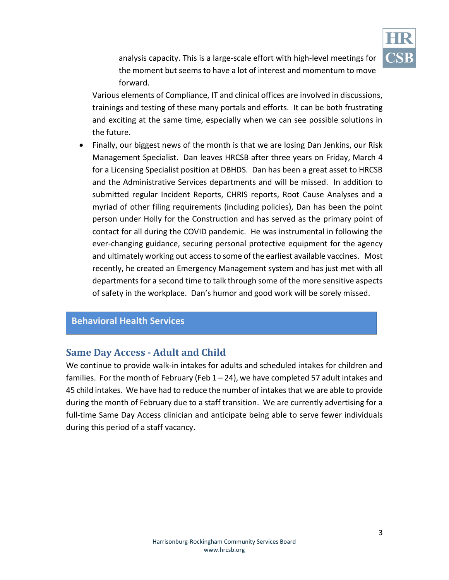

analysis capacity. This is a large-scale effort with high-level meetings for the moment but seems to have a lot of interest and momentum to move forward.

Various elements of Compliance, IT and clinical offices are involved in discussions, trainings and testing of these many portals and efforts. It can be both frustrating and exciting at the same time, especially when we can see possible solutions in the future.

• Finally, our biggest news of the month is that we are losing Dan Jenkins, our Risk Management Specialist. Dan leaves HRCSB after three years on Friday, March 4 for a Licensing Specialist position at DBHDS. Dan has been a great asset to HRCSB and the Administrative Services departments and will be missed. In addition to submitted regular Incident Reports, CHRIS reports, Root Cause Analyses and a myriad of other filing requirements (including policies), Dan has been the point person under Holly for the Construction and has served as the primary point of contact for all during the COVID pandemic. He was instrumental in following the ever-changing guidance, securing personal protective equipment for the agency and ultimately working out access to some of the earliest available vaccines. Most recently, he created an Emergency Management system and has just met with all departments for a second time to talk through some of the more sensitive aspects of safety in the workplace. Dan's humor and good work will be sorely missed.

#### **Behavioral Health Services**

#### **Same Day Access - Adult and Child**

We continue to provide walk-in intakes for adults and scheduled intakes for children and families. For the month of February (Feb  $1 - 24$ ), we have completed 57 adult intakes and 45 child intakes. We have had to reduce the number of intakes that we are able to provide during the month of February due to a staff transition. We are currently advertising for a full-time Same Day Access clinician and anticipate being able to serve fewer individuals during this period of a staff vacancy.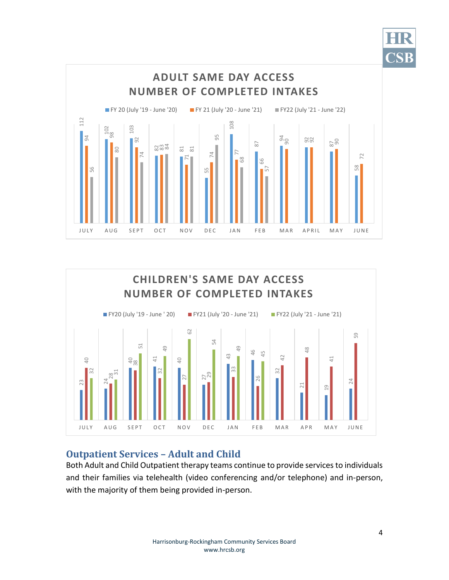





# **Outpatient Services – Adult and Child**

Both Adult and Child Outpatient therapy teams continue to provide services to individuals and their families via telehealth (video conferencing and/or telephone) and in-person,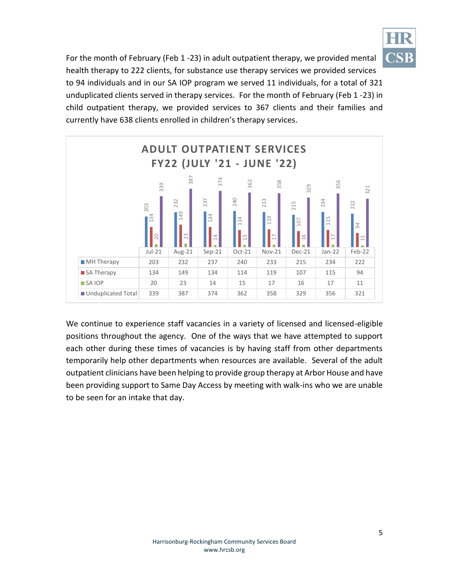

For the month of February (Feb 1 -23) in adult outpatient therapy, we provided mental health therapy to 222 clients, for substance use therapy services we provided services to 94 individuals and in our SA IOP program we served 11 individuals, for a total of 321 unduplicated clients served in therapy services. For the month of February (Feb 1 -23) in child outpatient therapy, we provided services to 367 clients and their families and currently have 638 clients enrolled in children's therapy services.



We continue to experience staff vacancies in a variety of licensed and licensed-eligible positions throughout the agency. One of the ways that we have attempted to support each other during these times of vacancies is by having staff from other departments temporarily help other departments when resources are available. Several of the adult outpatient clinicians have been helping to provide group therapy at Arbor House and have been providing support to Same Day Access by meeting with walk-ins who we are unable to be seen for an intake that day.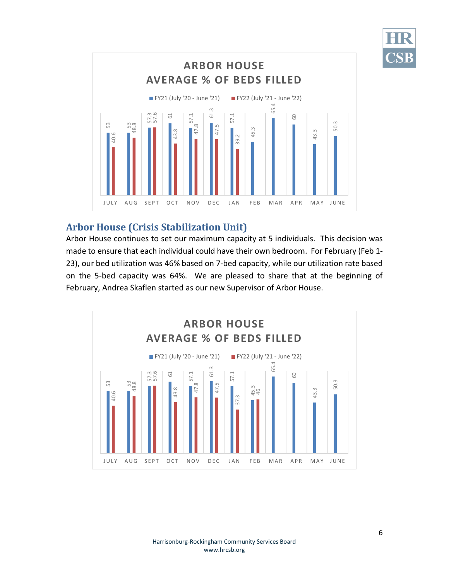



# **Arbor House (Crisis Stabilization Unit)**

Arbor House continues to set our maximum capacity at 5 individuals. This decision was made to ensure that each individual could have their own bedroom. For February (Feb 1- 23), our bed utilization was 46% based on 7-bed capacity, while our utilization rate based on the 5-bed capacity was 64%. We are pleased to share that at the beginning of

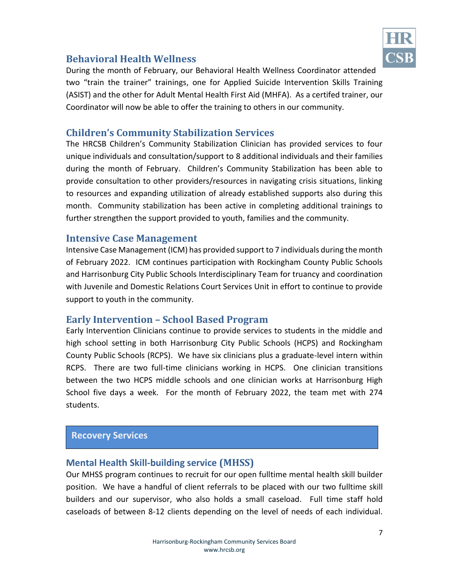

## **Behavioral Health Wellness**

During the month of February, our Behavioral Health Wellness Coordinator attended two "train the trainer" trainings, one for Applied Suicide Intervention Skills Training (ASIST) and the other for Adult Mental Health First Aid (MHFA). As a certifed trainer, our Coordinator will now be able to offer the training to others in our community.

#### **Children's Community Stabilization Services**

The HRCSB Children's Community Stabilization Clinician has provided services to four unique individuals and consultation/support to 8 additional individuals and their families during the month of February. Children's Community Stabilization has been able to provide consultation to other providers/resources in navigating crisis situations, linking to resources and expanding utilization of already established supports also during this month. Community stabilization has been active in completing additional trainings to further strengthen the support provided to youth, families and the community.

#### **Intensive Case Management**

Intensive Case Management (ICM) has provided support to 7 individuals during the month of February 2022. ICM continues participation with Rockingham County Public Schools and Harrisonburg City Public Schools Interdisciplinary Team for truancy and coordination with Juvenile and Domestic Relations Court Services Unit in effort to continue to provide support to youth in the community.

#### **Early Intervention – School Based Program**

Early Intervention Clinicians continue to provide services to students in the middle and high school setting in both Harrisonburg City Public Schools (HCPS) and Rockingham County Public Schools (RCPS). We have six clinicians plus a graduate-level intern within RCPS. There are two full-time clinicians working in HCPS. One clinician transitions between the two HCPS middle schools and one clinician works at Harrisonburg High School five days a week. For the month of February 2022, the team met with 274 students.

#### **Recovery Services**

#### **Mental Health Skill-building service (MHSS)**

Our MHSS program continues to recruit for our open fulltime mental health skill builder position. We have a handful of client referrals to be placed with our two fulltime skill builders and our supervisor, who also holds a small caseload. Full time staff hold caseloads of between 8-12 clients depending on the level of needs of each individual.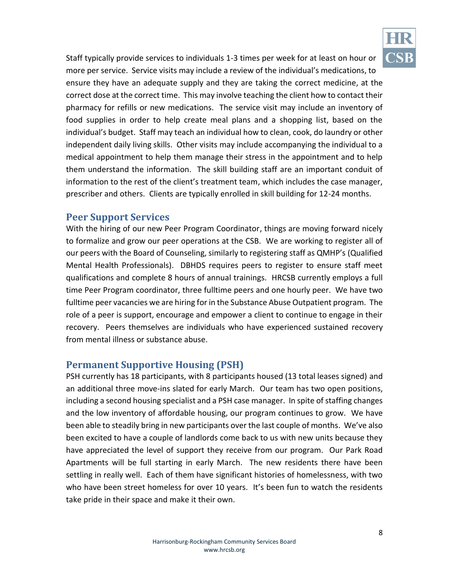

Staff typically provide services to individuals 1-3 times per week for at least on hour or more per service. Service visits may include a review of the individual's medications, to ensure they have an adequate supply and they are taking the correct medicine, at the correct dose at the correct time. This may involve teaching the client how to contact their pharmacy for refills or new medications. The service visit may include an inventory of food supplies in order to help create meal plans and a shopping list, based on the individual's budget. Staff may teach an individual how to clean, cook, do laundry or other independent daily living skills. Other visits may include accompanying the individual to a medical appointment to help them manage their stress in the appointment and to help them understand the information. The skill building staff are an important conduit of information to the rest of the client's treatment team, which includes the case manager, prescriber and others. Clients are typically enrolled in skill building for 12-24 months.

#### **Peer Support Services**

With the hiring of our new Peer Program Coordinator, things are moving forward nicely to formalize and grow our peer operations at the CSB. We are working to register all of our peers with the Board of Counseling, similarly to registering staff as QMHP's (Qualified Mental Health Professionals). DBHDS requires peers to register to ensure staff meet qualifications and complete 8 hours of annual trainings. HRCSB currently employs a full time Peer Program coordinator, three fulltime peers and one hourly peer. We have two fulltime peer vacancies we are hiring for in the Substance Abuse Outpatient program. The role of a peer is support, encourage and empower a client to continue to engage in their recovery. Peers themselves are individuals who have experienced sustained recovery from mental illness or substance abuse.

## **Permanent Supportive Housing (PSH)**

PSH currently has 18 participants, with 8 participants housed (13 total leases signed) and an additional three move-ins slated for early March. Our team has two open positions, including a second housing specialist and a PSH case manager. In spite of staffing changes and the low inventory of affordable housing, our program continues to grow. We have been able to steadily bring in new participants over the last couple of months. We've also been excited to have a couple of landlords come back to us with new units because they have appreciated the level of support they receive from our program. Our Park Road Apartments will be full starting in early March. The new residents there have been settling in really well. Each of them have significant histories of homelessness, with two who have been street homeless for over 10 years. It's been fun to watch the residents take pride in their space and make it their own.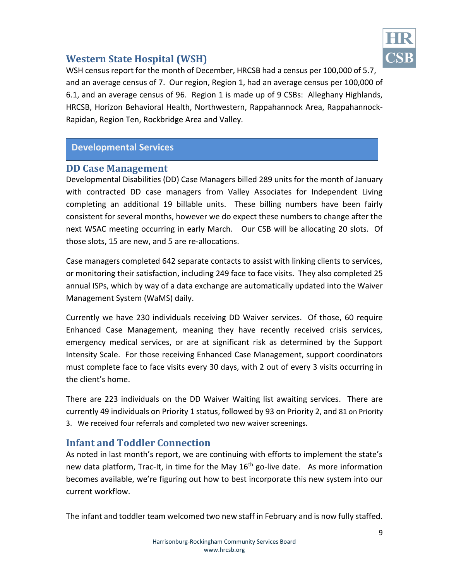

# **Western State Hospital (WSH)**

WSH census report for the month of December, HRCSB had a census per 100,000 of 5.7, and an average census of 7. Our region, Region 1, had an average census per 100,000 of 6.1, and an average census of 96. Region 1 is made up of 9 CSBs: Alleghany Highlands, HRCSB, Horizon Behavioral Health, Northwestern, Rappahannock Area, Rappahannock-Rapidan, Region Ten, Rockbridge Area and Valley.

## **Developmental Services**

#### **DD Case Management**

Developmental Disabilities (DD) Case Managers billed 289 units for the month of January with contracted DD case managers from Valley Associates for Independent Living completing an additional 19 billable units. These billing numbers have been fairly consistent for several months, however we do expect these numbers to change after the next WSAC meeting occurring in early March. Our CSB will be allocating 20 slots. Of those slots, 15 are new, and 5 are re-allocations.

Case managers completed 642 separate contacts to assist with linking clients to services, or monitoring their satisfaction, including 249 face to face visits. They also completed 25 annual ISPs, which by way of a data exchange are automatically updated into the Waiver Management System (WaMS) daily.

Currently we have 230 individuals receiving DD Waiver services. Of those, 60 require Enhanced Case Management, meaning they have recently received crisis services, emergency medical services, or are at significant risk as determined by the Support Intensity Scale. For those receiving Enhanced Case Management, support coordinators must complete face to face visits every 30 days, with 2 out of every 3 visits occurring in the client's home.

There are 223 individuals on the DD Waiver Waiting list awaiting services. There are currently 49 individuals on Priority 1 status, followed by 93 on Priority 2, and 81 on Priority 3. We received four referrals and completed two new waiver screenings.

## **Infant and Toddler Connection**

As noted in last month's report, we are continuing with efforts to implement the state's new data platform, Trac-It, in time for the May  $16<sup>th</sup>$  go-live date. As more information becomes available, we're figuring out how to best incorporate this new system into our current workflow.

The infant and toddler team welcomed two new staff in February and is now fully staffed.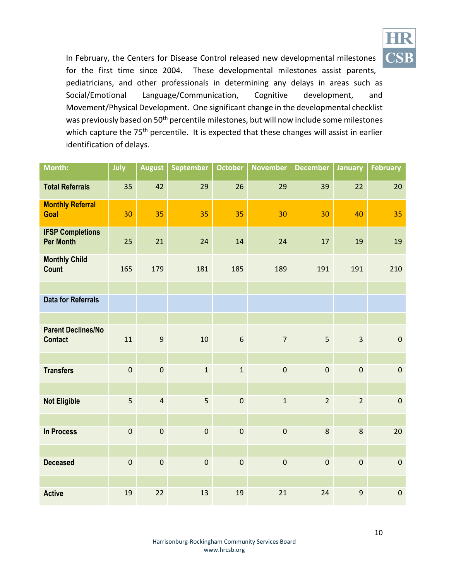

In February, the Centers for Disease Control released new developmental milestones for the first time since 2004. These developmental milestones assist parents, pediatricians, and other professionals in determining any delays in areas such as Social/Emotional Language/Communication, Cognitive development, and Movement/Physical Development. One significant change in the developmental checklist was previously based on 50<sup>th</sup> percentile milestones, but will now include some milestones which capture the 75<sup>th</sup> percentile. It is expected that these changes will assist in earlier identification of delays.

| Month:                                      | July        | <b>August</b>    | <b>September</b> | <b>October</b> | <b>November</b> | <b>December</b> | <b>January</b> | <b>February</b> |
|---------------------------------------------|-------------|------------------|------------------|----------------|-----------------|-----------------|----------------|-----------------|
| <b>Total Referrals</b>                      | 35          | 42               | 29               | 26             | 29              | 39              | 22             | 20              |
| <b>Monthly Referral</b><br>Goal             | 30          | 35               | 35               | 35             | 30              | 30              | 40             | 35              |
| <b>IFSP Completions</b><br><b>Per Month</b> | 25          | 21               | 24               | 14             | 24              | 17              | 19             | 19              |
| <b>Monthly Child</b><br>Count               | 165         | 179              | 181              | 185            | 189             | 191             | 191            | 210             |
|                                             |             |                  |                  |                |                 |                 |                |                 |
| <b>Data for Referrals</b>                   |             |                  |                  |                |                 |                 |                |                 |
|                                             |             |                  |                  |                |                 |                 |                |                 |
| <b>Parent Declines/No</b><br><b>Contact</b> | 11          | $\boldsymbol{9}$ | 10               | $\sqrt{6}$     | $\overline{7}$  | 5               | $\overline{3}$ | $\pmb{0}$       |
|                                             |             |                  |                  |                |                 |                 |                |                 |
| <b>Transfers</b>                            | $\pmb{0}$   | $\pmb{0}$        | $\mathbf{1}$     | $\mathbf{1}$   | $\pmb{0}$       | $\pmb{0}$       | $\pmb{0}$      | $\pmb{0}$       |
|                                             |             |                  |                  |                |                 |                 |                |                 |
| <b>Not Eligible</b>                         | 5           | $\overline{4}$   | 5                | $\mathbf 0$    | $\mathbf{1}$    | $\overline{2}$  | $\overline{2}$ | $\mathbf 0$     |
|                                             |             |                  |                  |                |                 |                 |                |                 |
| <b>In Process</b>                           | $\mathbf 0$ | $\pmb{0}$        | $\pmb{0}$        | $\pmb{0}$      | $\pmb{0}$       | 8               | 8              | 20              |
|                                             |             |                  |                  |                |                 |                 |                |                 |
| <b>Deceased</b>                             | $\pmb{0}$   | $\mathbf 0$      | $\pmb{0}$        | $\pmb{0}$      | $\pmb{0}$       | $\mathbf 0$     | $\pmb{0}$      | $\pmb{0}$       |
|                                             |             |                  |                  |                |                 |                 |                |                 |
| <b>Active</b>                               | 19          | 22               | 13               | 19             | 21              | 24              | 9              | $\pmb{0}$       |